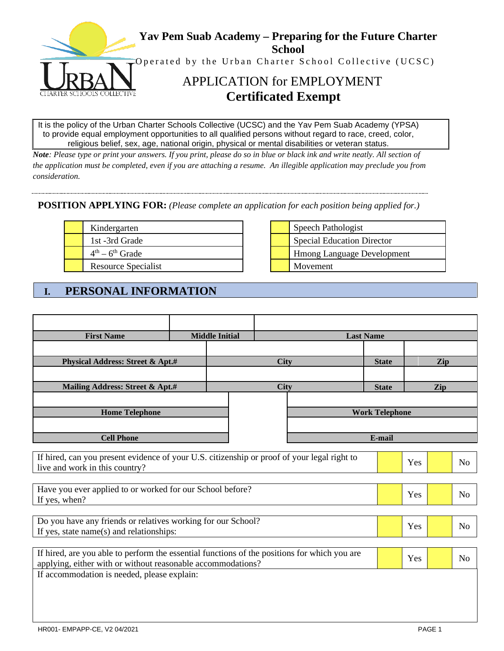

It is the policy of the Urban Charter Schools Collective (UCSC) and the Yav Pem Suab Academy (YPSA) to provide equal employment opportunities to all qualified persons without regard to race, creed, color, religious belief, sex, age, national origin, physical or mental disabilities or veteran status.

*Note: Please type or print your answers. If you print, please do so in blue or black ink and write neatly. All section of the application must be completed, even if you are attaching a resume. An illegible application may preclude you from consideration.* 

### **POSITION APPLYING FOR:** *(Please complete an application for each position being applied for.)*

| Kindergarten               |  | Speech Pathologist                |
|----------------------------|--|-----------------------------------|
| 1st -3rd Grade             |  | Special Education Director        |
| $4th - 6th$ Grade          |  | <b>Hmong Language Development</b> |
| <b>Resource Specialist</b> |  | Movement                          |

| Speech Pathologist                |
|-----------------------------------|
| <b>Special Education Director</b> |
| <b>Hmong Language Development</b> |
| Movement                          |

# **I. PERSONAL INFORMATION**

| <b>First Name</b>                                                                                                             |  | <b>Middle Initial</b> | <b>Last Name</b> |  |                       |     |     |                |
|-------------------------------------------------------------------------------------------------------------------------------|--|-----------------------|------------------|--|-----------------------|-----|-----|----------------|
|                                                                                                                               |  |                       |                  |  |                       |     |     |                |
| <b>Physical Address: Street &amp; Apt.#</b>                                                                                   |  |                       | <b>City</b>      |  | <b>State</b>          |     | Zip |                |
|                                                                                                                               |  |                       |                  |  |                       |     |     |                |
| Mailing Address: Street & Apt.#                                                                                               |  |                       | <b>City</b>      |  | <b>State</b>          |     | Zip |                |
|                                                                                                                               |  |                       |                  |  |                       |     |     |                |
| <b>Home Telephone</b>                                                                                                         |  |                       |                  |  | <b>Work Telephone</b> |     |     |                |
|                                                                                                                               |  |                       |                  |  |                       |     |     |                |
| <b>Cell Phone</b>                                                                                                             |  |                       |                  |  | E-mail                |     |     |                |
|                                                                                                                               |  |                       |                  |  |                       |     |     |                |
| If hired, can you present evidence of your U.S. citizenship or proof of your legal right to<br>live and work in this country? |  |                       |                  |  |                       | Yes |     | N <sub>o</sub> |
|                                                                                                                               |  |                       |                  |  |                       |     |     |                |
| Have you ever applied to or worked for our School before?                                                                     |  |                       |                  |  |                       |     |     |                |
| If yes, when?                                                                                                                 |  |                       |                  |  |                       | Yes |     | N <sub>o</sub> |
|                                                                                                                               |  |                       |                  |  |                       |     |     |                |
| Do you have any friends or relatives working for our School?                                                                  |  |                       |                  |  |                       | Yes |     | N <sub>o</sub> |
| If yes, state name(s) and relationships:                                                                                      |  |                       |                  |  |                       |     |     |                |
| If hired, are you able to perform the essential functions of the positions for which you are                                  |  |                       |                  |  |                       |     |     |                |
| applying, either with or without reasonable accommodations?                                                                   |  |                       |                  |  |                       | Yes |     | N <sub>o</sub> |
| If accommodation is needed, please explain:                                                                                   |  |                       |                  |  |                       |     |     |                |
|                                                                                                                               |  |                       |                  |  |                       |     |     |                |
|                                                                                                                               |  |                       |                  |  |                       |     |     |                |
|                                                                                                                               |  |                       |                  |  |                       |     |     |                |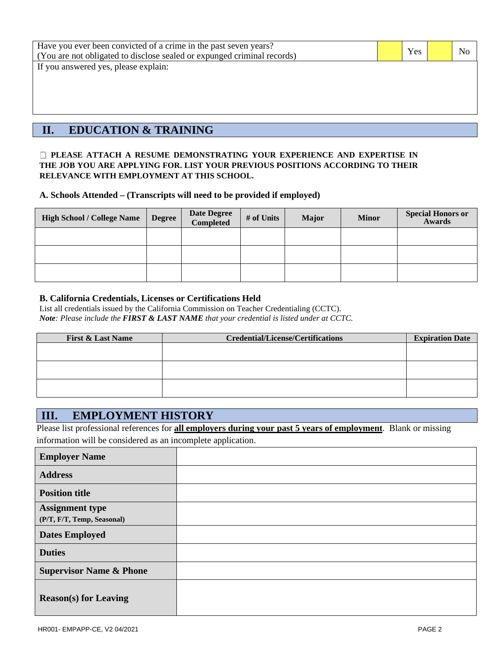| Have you ever been convicted of a crime in the past seven years?<br>(You are not obligated to disclose sealed or expunged criminal records) | Yes | N <sub>0</sub> |
|---------------------------------------------------------------------------------------------------------------------------------------------|-----|----------------|
| If you answered yes, please explain:                                                                                                        |     |                |
|                                                                                                                                             |     |                |
|                                                                                                                                             |     |                |
|                                                                                                                                             |     |                |
|                                                                                                                                             |     |                |
| <b>EDUCATION &amp; TRAINING</b>                                                                                                             |     |                |

#### **PLEASE ATTACH A RESUME DEMONSTRATING YOUR EXPERIENCE AND EXPERTISE IN THE JOB YOU ARE APPLYING FOR. LIST YOUR PREVIOUS POSITIONS ACCORDING TO THEIR RELEVANCE WITH EMPLOYMENT AT THIS SCHOOL.**

**A. Schools Attended – (Transcripts will need to be provided if employed)**

| <b>High School / College Name</b> | <b>Degree</b> | Date Degree<br>Completed | # of Units | <b>Major</b> | <b>Minor</b> | <b>Special Honors or</b><br>Awards |  |
|-----------------------------------|---------------|--------------------------|------------|--------------|--------------|------------------------------------|--|
|                                   |               |                          |            |              |              |                                    |  |
|                                   |               |                          |            |              |              |                                    |  |
|                                   |               |                          |            |              |              |                                    |  |

#### **B. California Credentials, Licenses or Certifications Held**

List all credentials issued by the California Commission on Teacher Credentialing (CCTC). *Note: Please include the FIRST & LAST NAME that your credential is listed under at CCTC.*

| <b>First &amp; Last Name</b> | <b>Credential/License/Certifications</b> | <b>Expiration Date</b> |
|------------------------------|------------------------------------------|------------------------|
|                              |                                          |                        |
|                              |                                          |                        |
|                              |                                          |                        |
|                              |                                          |                        |
|                              |                                          |                        |
|                              |                                          |                        |

### **III. EMPLOYMENT HISTORY**

Please list professional references for **all employers during your past 5 years of employment**. Blank or missing information will be considered as an incomplete application.

| <b>Employer Name</b>                                 |  |
|------------------------------------------------------|--|
| <b>Address</b>                                       |  |
| <b>Position title</b>                                |  |
| <b>Assignment type</b><br>(P/T, F/T, Temp, Seasonal) |  |
| <b>Dates Employed</b>                                |  |
| <b>Duties</b>                                        |  |
| <b>Supervisor Name &amp; Phone</b>                   |  |
| <b>Reason(s)</b> for Leaving                         |  |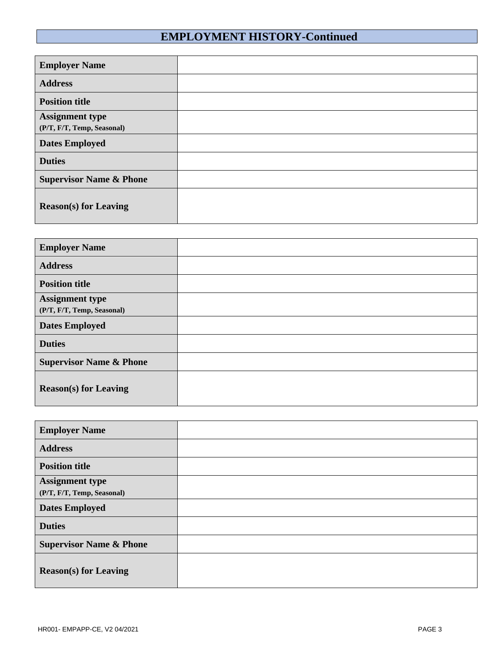# **EMPLOYMENT HISTORY-Continued**

| <b>Employer Name</b>                                 |  |
|------------------------------------------------------|--|
| <b>Address</b>                                       |  |
| <b>Position title</b>                                |  |
| <b>Assignment type</b><br>(P/T, F/T, Temp, Seasonal) |  |
| <b>Dates Employed</b>                                |  |
| <b>Duties</b>                                        |  |
| <b>Supervisor Name &amp; Phone</b>                   |  |
| <b>Reason(s)</b> for Leaving                         |  |

| <b>Employer Name</b>               |  |
|------------------------------------|--|
| <b>Address</b>                     |  |
| <b>Position title</b>              |  |
| <b>Assignment type</b>             |  |
| (P/T, F/T, Temp, Seasonal)         |  |
| <b>Dates Employed</b>              |  |
| <b>Duties</b>                      |  |
| <b>Supervisor Name &amp; Phone</b> |  |
| <b>Reason(s) for Leaving</b>       |  |

| <b>Employer Name</b>                                 |  |
|------------------------------------------------------|--|
| <b>Address</b>                                       |  |
| <b>Position title</b>                                |  |
| <b>Assignment type</b><br>(P/T, F/T, Temp, Seasonal) |  |
| <b>Dates Employed</b>                                |  |
| <b>Duties</b>                                        |  |
| <b>Supervisor Name &amp; Phone</b>                   |  |
| <b>Reason(s) for Leaving</b>                         |  |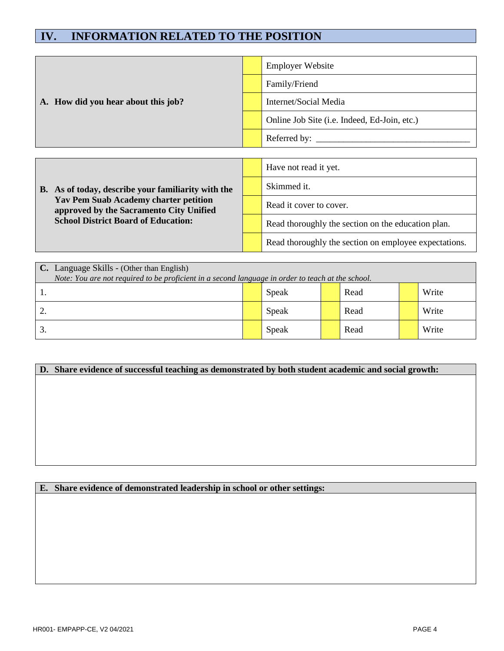## **IV. INFORMATION RELATED TO THE POSITION**

|  |                                                                                                                                                                                             |  | <b>Employer Website</b>                               |
|--|---------------------------------------------------------------------------------------------------------------------------------------------------------------------------------------------|--|-------------------------------------------------------|
|  | A. How did you hear about this job?                                                                                                                                                         |  | Family/Friend                                         |
|  |                                                                                                                                                                                             |  | Internet/Social Media                                 |
|  |                                                                                                                                                                                             |  | Online Job Site (i.e. Indeed, Ed-Join, etc.)          |
|  |                                                                                                                                                                                             |  |                                                       |
|  |                                                                                                                                                                                             |  |                                                       |
|  |                                                                                                                                                                                             |  | Have not read it yet.                                 |
|  | B. As of today, describe your familiarity with the<br><b>Yav Pem Suab Academy charter petition</b><br>approved by the Sacramento City Unified<br><b>School District Board of Education:</b> |  | Skimmed it.                                           |
|  |                                                                                                                                                                                             |  | Read it cover to cover.                               |
|  |                                                                                                                                                                                             |  | Read thoroughly the section on the education plan.    |
|  |                                                                                                                                                                                             |  | Read thoroughly the section on employee expectations. |

|     | C. Language Skills - (Other than English)                                                         |  |       |  |      |  |       |  |
|-----|---------------------------------------------------------------------------------------------------|--|-------|--|------|--|-------|--|
|     | Note: You are not required to be proficient in a second language in order to teach at the school. |  |       |  |      |  |       |  |
| . . |                                                                                                   |  | Speak |  | Read |  | Write |  |
| 2.  |                                                                                                   |  | Speak |  | Read |  | Write |  |
| 3.  |                                                                                                   |  | Speak |  | Read |  | Write |  |

## **D. Share evidence of successful teaching as demonstrated by both student academic and social growth:**

### **E. Share evidence of demonstrated leadership in school or other settings:**